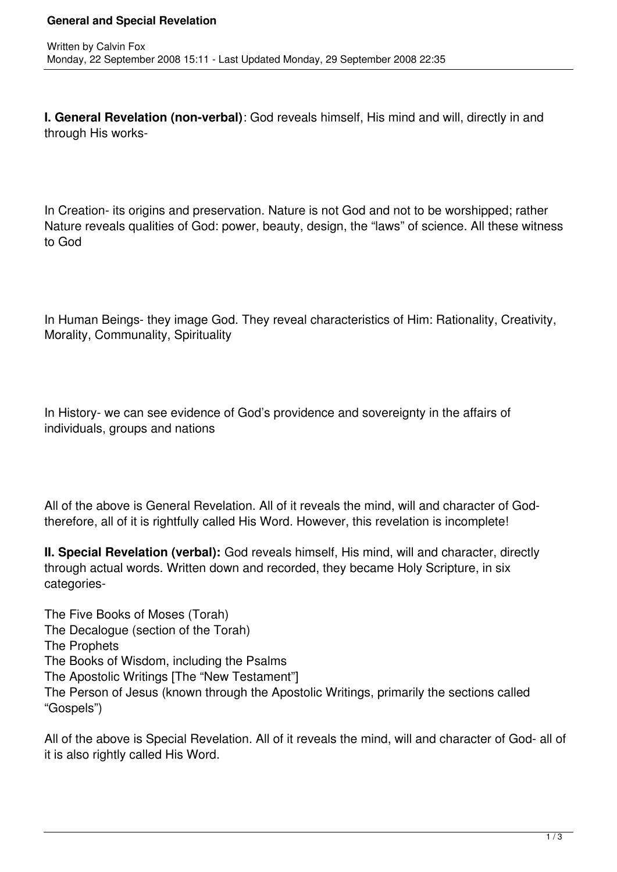**I. General Revelation (non-verbal)**: God reveals himself, His mind and will, directly in and through His works-

In Creation- its origins and preservation. Nature is not God and not to be worshipped; rather Nature reveals qualities of God: power, beauty, design, the "laws" of science. All these witness to God

In Human Beings- they image God. They reveal characteristics of Him: Rationality, Creativity, Morality, Communality, Spirituality

In History- we can see evidence of God's providence and sovereignty in the affairs of individuals, groups and nations

All of the above is General Revelation. All of it reveals the mind, will and character of Godtherefore, all of it is rightfully called His Word. However, this revelation is incomplete!

**II. Special Revelation (verbal):** God reveals himself, His mind, will and character, directly through actual words. Written down and recorded, they became Holy Scripture, in six categories-

The Five Books of Moses (Torah) The Decalogue (section of the Torah) The Prophets The Books of Wisdom, including the Psalms The Apostolic Writings [The "New Testament"] The Person of Jesus (known through the Apostolic Writings, primarily the sections called "Gospels")

All of the above is Special Revelation. All of it reveals the mind, will and character of God- all of it is also rightly called His Word.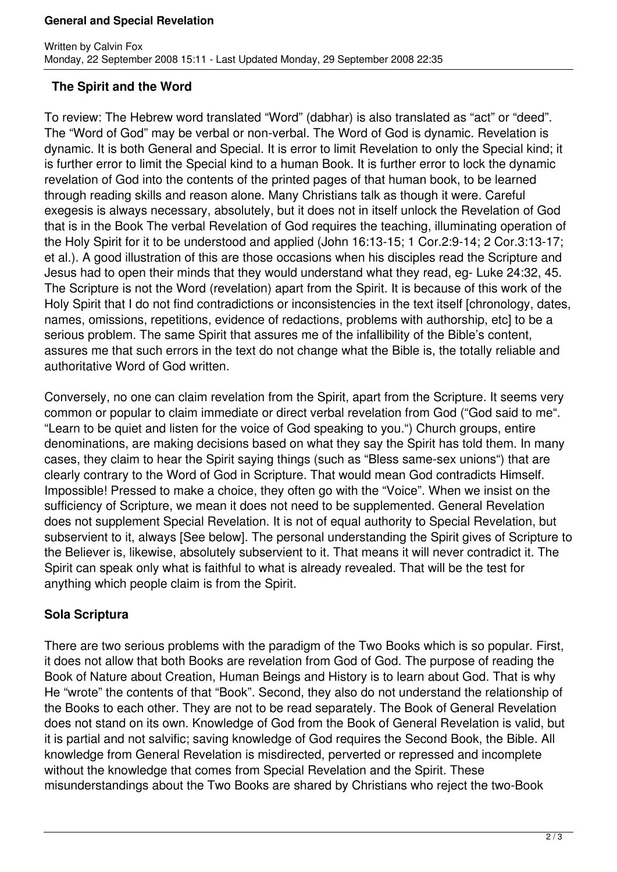## **General and Special Revelation**

## **The Spirit and the Word**

To review: The Hebrew word translated "Word" (dabhar) is also translated as "act" or "deed". The "Word of God" may be verbal or non-verbal. The Word of God is dynamic. Revelation is dynamic. It is both General and Special. It is error to limit Revelation to only the Special kind; it is further error to limit the Special kind to a human Book. It is further error to lock the dynamic revelation of God into the contents of the printed pages of that human book, to be learned through reading skills and reason alone. Many Christians talk as though it were. Careful exegesis is always necessary, absolutely, but it does not in itself unlock the Revelation of God that is in the Book The verbal Revelation of God requires the teaching, illuminating operation of the Holy Spirit for it to be understood and applied (John 16:13-15; 1 Cor.2:9-14; 2 Cor.3:13-17; et al.). A good illustration of this are those occasions when his disciples read the Scripture and Jesus had to open their minds that they would understand what they read, eg- Luke 24:32, 45. The Scripture is not the Word (revelation) apart from the Spirit. It is because of this work of the Holy Spirit that I do not find contradictions or inconsistencies in the text itself [chronology, dates, names, omissions, repetitions, evidence of redactions, problems with authorship, etc] to be a serious problem. The same Spirit that assures me of the infallibility of the Bible's content, assures me that such errors in the text do not change what the Bible is, the totally reliable and authoritative Word of God written.

Conversely, no one can claim revelation from the Spirit, apart from the Scripture. It seems very common or popular to claim immediate or direct verbal revelation from God ("God said to me". "Learn to be quiet and listen for the voice of God speaking to you.") Church groups, entire denominations, are making decisions based on what they say the Spirit has told them. In many cases, they claim to hear the Spirit saying things (such as "Bless same-sex unions") that are clearly contrary to the Word of God in Scripture. That would mean God contradicts Himself. Impossible! Pressed to make a choice, they often go with the "Voice". When we insist on the sufficiency of Scripture, we mean it does not need to be supplemented. General Revelation does not supplement Special Revelation. It is not of equal authority to Special Revelation, but subservient to it, always [See below]. The personal understanding the Spirit gives of Scripture to the Believer is, likewise, absolutely subservient to it. That means it will never contradict it. The Spirit can speak only what is faithful to what is already revealed. That will be the test for anything which people claim is from the Spirit.

## **Sola Scriptura**

There are two serious problems with the paradigm of the Two Books which is so popular. First, it does not allow that both Books are revelation from God of God. The purpose of reading the Book of Nature about Creation, Human Beings and History is to learn about God. That is why He "wrote" the contents of that "Book". Second, they also do not understand the relationship of the Books to each other. They are not to be read separately. The Book of General Revelation does not stand on its own. Knowledge of God from the Book of General Revelation is valid, but it is partial and not salvific; saving knowledge of God requires the Second Book, the Bible. All knowledge from General Revelation is misdirected, perverted or repressed and incomplete without the knowledge that comes from Special Revelation and the Spirit. These misunderstandings about the Two Books are shared by Christians who reject the two-Book